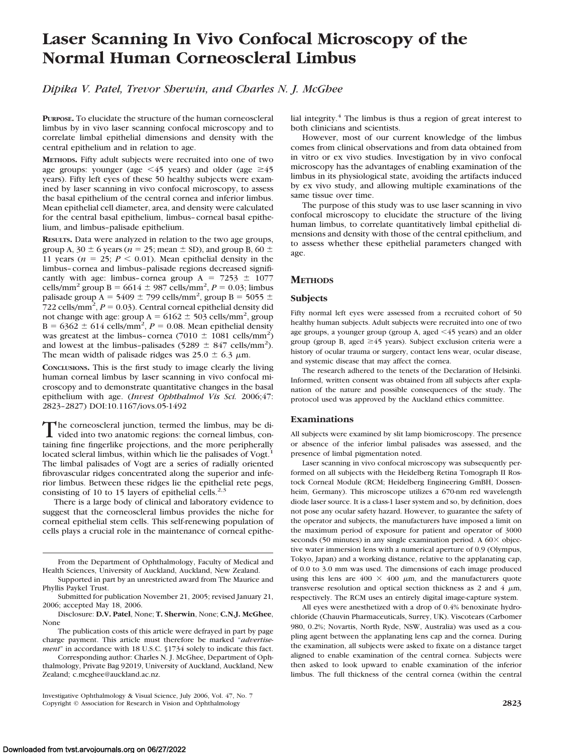# **Laser Scanning In Vivo Confocal Microscopy of the Normal Human Corneoscleral Limbus**

*Dipika V. Patel, Trevor Sherwin, and Charles N. J. McGhee*

**PURPOSE.** To elucidate the structure of the human corneoscleral limbus by in vivo laser scanning confocal microscopy and to correlate limbal epithelial dimensions and density with the central epithelium and in relation to age.

**METHODS.** Fifty adult subjects were recruited into one of two age groups: younger (age  $\leq 45$  years) and older (age  $\geq 45$ years). Fifty left eyes of these 50 healthy subjects were examined by laser scanning in vivo confocal microscopy, to assess the basal epithelium of the central cornea and inferior limbus. Mean epithelial cell diameter, area, and density were calculated for the central basal epithelium, limbus–corneal basal epithelium, and limbus–palisade epithelium.

**RESULTS.** Data were analyzed in relation to the two age groups, group A, 30  $\pm$  6 years ( $n = 25$ ; mean  $\pm$  SD), and group B, 60  $\pm$ 11 years ( $n = 25$ ;  $P < 0.01$ ). Mean epithelial density in the limbus–cornea and limbus–palisade regions decreased significantly with age: limbus-cornea group  $A = 7253 \pm 1077$ cells/mm<sup>2</sup> group  $B = 6614 \pm 987$  cells/mm<sup>2</sup>,  $P = 0.03$ ; limbus palisade group  $\overline{A} = 5409 \pm 799$  cells/mm<sup>2</sup>, group  $\overline{B} = 5055 \pm 100$  $722$  cells/mm<sup>2</sup>,  $P = 0.03$ ). Central corneal epithelial density did not change with age: group  $A = 6162 \pm 503$  cells/mm<sup>2</sup>, group  $B = 6362 \pm 614$  cells/mm<sup>2</sup>,  $P = 0.08$ . Mean epithelial density was greatest at the limbus–cornea (7010  $\pm$  1081 cells/mm<sup>2</sup>) and lowest at the limbus-palisades  $(5289 \pm 847 \text{ cells/mm}^2)$ . The mean width of palisade ridges was  $25.0 \pm 6.3 \mu$ m.

**CONCLUSIONS.** This is the first study to image clearly the living human corneal limbus by laser scanning in vivo confocal microscopy and to demonstrate quantitative changes in the basal epithelium with age. (*Invest Ophthalmol Vis Sci.* 2006;47: 2823–2827) DOI:10.1167/iovs.05-1492

The corneoscleral junction, termed the limbus, may be di-<br>vided into two anatomic regions: the corneal limbus, con-<br>this is far facellite positions and the mass positional taining fine fingerlike projections, and the more peripherally located scleral limbus, within which lie the palisades of Vogt.<sup>1</sup> The limbal palisades of Vogt are a series of radially oriented fibrovascular ridges concentrated along the superior and inferior limbus. Between these ridges lie the epithelial rete pegs, consisting of 10 to 15 layers of epithelial cells.<sup>2,3</sup>

There is a large body of clinical and laboratory evidence to suggest that the corneoscleral limbus provides the niche for corneal epithelial stem cells. This self-renewing population of cells plays a crucial role in the maintenance of corneal epithelial integrity.4 The limbus is thus a region of great interest to both clinicians and scientists.

However, most of our current knowledge of the limbus comes from clinical observations and from data obtained from in vitro or ex vivo studies. Investigation by in vivo confocal microscopy has the advantages of enabling examination of the limbus in its physiological state, avoiding the artifacts induced by ex vivo study, and allowing multiple examinations of the same tissue over time.

The purpose of this study was to use laser scanning in vivo confocal microscopy to elucidate the structure of the living human limbus, to correlate quantitatively limbal epithelial dimensions and density with those of the central epithelium, and to assess whether these epithelial parameters changed with age.

## **METHODS**

### **Subjects**

Fifty normal left eyes were assessed from a recruited cohort of 50 healthy human subjects. Adult subjects were recruited into one of two age groups, a younger group (group A, aged <45 years) and an older group (group B, aged  $\geq$  45 years). Subject exclusion criteria were a history of ocular trauma or surgery, contact lens wear, ocular disease, and systemic disease that may affect the cornea.

The research adhered to the tenets of the Declaration of Helsinki. Informed, written consent was obtained from all subjects after explanation of the nature and possible consequences of the study. The protocol used was approved by the Auckland ethics committee.

## **Examinations**

All subjects were examined by slit lamp biomicroscopy. The presence or absence of the inferior limbal palisades was assessed, and the presence of limbal pigmentation noted.

Laser scanning in vivo confocal microscopy was subsequently performed on all subjects with the Heidelberg Retina Tomograph II Rostock Corneal Module (RCM; Heidelberg Engineering GmBH, Dossenheim, Germany). This microscope utilizes a 670-nm red wavelength diode laser source. It is a class-1 laser system and so, by definition, does not pose any ocular safety hazard. However, to guarantee the safety of the operator and subjects, the manufacturers have imposed a limit on the maximum period of exposure for patient and operator of 3000 seconds (50 minutes) in any single examination period. A  $60 \times$  objective water immersion lens with a numerical aperture of 0.9 (Olympus, Tokyo, Japan) and a working distance, relative to the applanating cap, of 0.0 to 3.0 mm was used. The dimensions of each image produced using this lens are  $400 \times 400 \mu m$ , and the manufacturers quote transverse resolution and optical section thickness as 2 and 4  $\mu$ m, respectively. The RCM uses an entirely digital image-capture system.

All eyes were anesthetized with a drop of 0.4% benoxinate hydrochloride (Chauvin Pharmaceuticals, Surrey, UK). Viscotears (Carbomer 980, 0.2%; Novartis, North Ryde, NSW, Australia) was used as a coupling agent between the applanating lens cap and the cornea. During the examination, all subjects were asked to fixate on a distance target aligned to enable examination of the central cornea. Subjects were then asked to look upward to enable examination of the inferior limbus. The full thickness of the central cornea (within the central

From the Department of Ophthalmology, Faculty of Medical and Health Sciences, University of Auckland, Auckland, New Zealand.

Supported in part by an unrestricted award from The Maurice and Phyllis Paykel Trust.

Submitted for publication November 21, 2005; revised January 21, 2006; accepted May 18, 2006.

Disclosure: **D.V. Patel**, None; **T. Sherwin**, None; **C.N.J. McGhee**, None

The publication costs of this article were defrayed in part by page charge payment. This article must therefore be marked "*advertisement*" in accordance with 18 U.S.C. §1734 solely to indicate this fact.

Corresponding author: Charles N. J. McGhee, Department of Ophthalmology, Private Bag 92019, University of Auckland, Auckland, New Zealand; c.mcghee@auckland.ac.nz.

Investigative Ophthalmology & Visual Science, July 2006, Vol. 47, No. 7 Copyright © Association for Research in Vision and Ophthalmology **2823**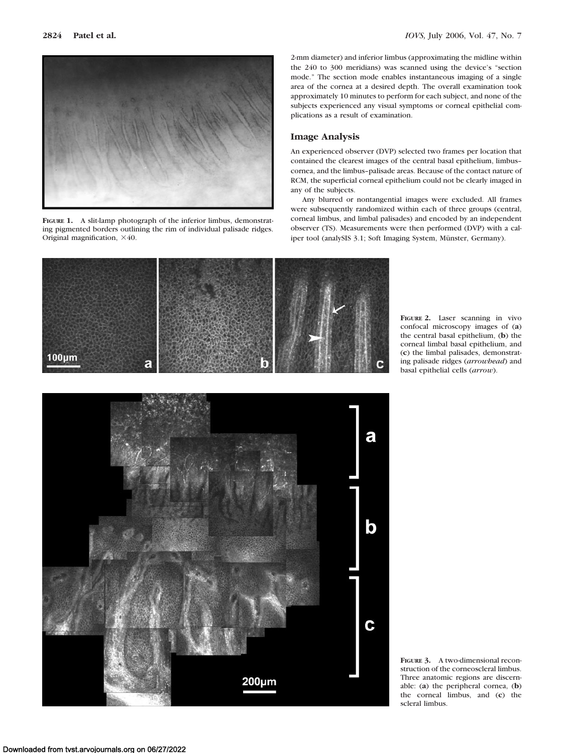

**FIGURE 1.** A slit-lamp photograph of the inferior limbus, demonstrating pigmented borders outlining the rim of individual palisade ridges. Original magnification,  $\times 40$ .

2-mm diameter) and inferior limbus (approximating the midline within the 240 to 300 meridians) was scanned using the device's "section mode." The section mode enables instantaneous imaging of a single area of the cornea at a desired depth. The overall examination took approximately 10 minutes to perform for each subject, and none of the subjects experienced any visual symptoms or corneal epithelial complications as a result of examination.

### **Image Analysis**

An experienced observer (DVP) selected two frames per location that contained the clearest images of the central basal epithelium, limbus– cornea, and the limbus–palisade areas. Because of the contact nature of RCM, the superficial corneal epithelium could not be clearly imaged in any of the subjects.

Any blurred or nontangential images were excluded. All frames were subsequently randomized within each of three groups (central, corneal limbus, and limbal palisades) and encoded by an independent observer (TS). Measurements were then performed (DVP) with a caliper tool (analySIS 3.1; Soft Imaging System, Münster, Germany).



**FIGURE 2.** Laser scanning in vivo confocal microscopy images of (**a**) the central basal epithelium, (**b**) the corneal limbal basal epithelium, and (**c**) the limbal palisades, demonstrating palisade ridges (*arrowhead*) and basal epithelial cells (*arrow*).



**FIGURE 3.** A two-dimensional reconstruction of the corneoscleral limbus. Three anatomic regions are discernable: (**a**) the peripheral cornea, (**b**) the corneal limbus, and (**c**) the scleral limbus.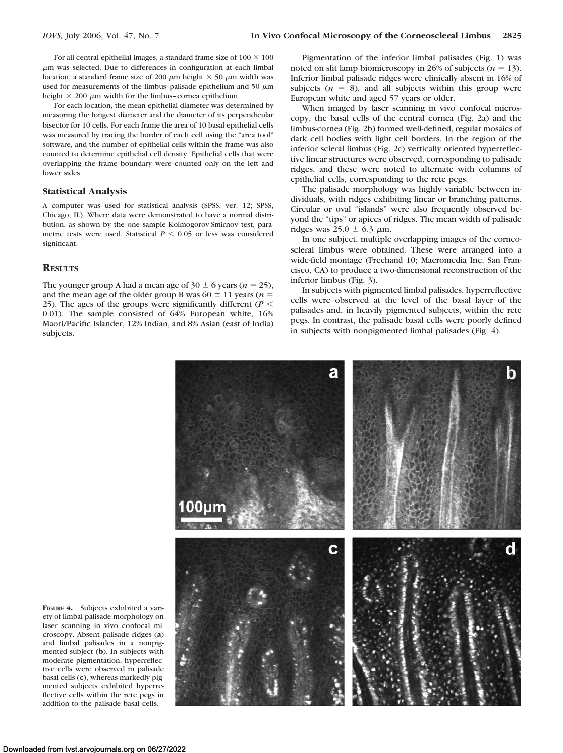For all central epithelial images, a standard frame size of  $100 \times 100$ -m was selected. Due to differences in configuration at each limbal location, a standard frame size of 200  $\mu$ m height  $\times$  50  $\mu$ m width was used for measurements of the limbus-palisade epithelium and 50  $\mu$ m height  $\times$  200  $\mu$ m width for the limbus-cornea epithelium.

For each location, the mean epithelial diameter was determined by measuring the longest diameter and the diameter of its perpendicular bisector for 10 cells. For each frame the area of 10 basal epithelial cells was measured by tracing the border of each cell using the "area tool" software, and the number of epithelial cells within the frame was also counted to determine epithelial cell density. Epithelial cells that were overlapping the frame boundary were counted only on the left and lower sides.

#### **Statistical Analysis**

A computer was used for statistical analysis (SPSS, ver. 12; SPSS, Chicago, IL). Where data were demonstrated to have a normal distribution, as shown by the one sample Kolmogorov-Smirnov test, parametric tests were used. Statistical  $P \leq 0.05$  or less was considered significant.

### **RESULTS**

The younger group A had a mean age of  $30 \pm 6$  years ( $n = 25$ ), and the mean age of the older group B was  $60 \pm 11$  years ( $n =$ 25). The ages of the groups were significantly different ( $P \leq$ 0.01). The sample consisted of 64% European white, 16% Maori/Pacific Islander, 12% Indian, and 8% Asian (east of India) subjects.

Pigmentation of the inferior limbal palisades (Fig. 1) was noted on slit lamp biomicroscopy in 26% of subjects  $(n = 13)$ . Inferior limbal palisade ridges were clinically absent in 16% of subjects  $(n = 8)$ , and all subjects within this group were European white and aged 57 years or older.

When imaged by laser scanning in vivo confocal microscopy, the basal cells of the central cornea (Fig. 2a) and the limbus-cornea (Fig. 2b) formed well-defined, regular mosaics of dark cell bodies with light cell borders. In the region of the inferior scleral limbus (Fig. 2c) vertically oriented hyperreflective linear structures were observed, corresponding to palisade ridges, and these were noted to alternate with columns of epithelial cells, corresponding to the rete pegs.

The palisade morphology was highly variable between individuals, with ridges exhibiting linear or branching patterns. Circular or oval "islands" were also frequently observed beyond the "tips" or apices of ridges. The mean width of palisade ridges was  $25.0 \pm 6.3 \mu$ m.

In one subject, multiple overlapping images of the corneoscleral limbus were obtained. These were arranged into a wide-field montage (Freehand 10; Macromedia Inc, San Francisco, CA) to produce a two-dimensional reconstruction of the inferior limbus (Fig. 3).

In subjects with pigmented limbal palisades, hyperreflective cells were observed at the level of the basal layer of the palisades and, in heavily pigmented subjects, within the rete pegs. In contrast, the palisade basal cells were poorly defined in subjects with nonpigmented limbal palisades (Fig. 4).



**FIGURE 4.** Subjects exhibited a variety of limbal palisade morphology on laser scanning in vivo confocal microscopy. Absent palisade ridges (**a**) and limbal palisades in a nonpigmented subject (**b**). In subjects with moderate pigmentation, hyperreflective cells were observed in palisade basal cells (**c**), whereas markedly pigmented subjects exhibited hyperreflective cells within the rete pegs in addition to the palisade basal cells.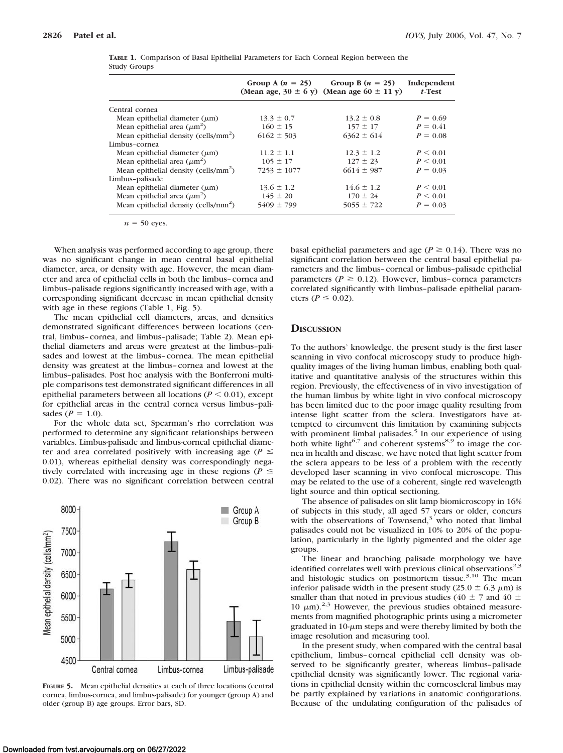|                                                  |                 | Group A $(n = 25)$ Group B $(n = 25)$<br>(Mean age, $30 \pm 6$ y) (Mean age $60 \pm 11$ y) | Independent<br>$t$ -Test |
|--------------------------------------------------|-----------------|--------------------------------------------------------------------------------------------|--------------------------|
| Central cornea                                   |                 |                                                                                            |                          |
| Mean epithelial diameter $(\mu m)$               | $13.3 \pm 0.7$  | $13.2 \pm 0.8$                                                                             | $P = 0.69$               |
| Mean epithelial area $(\mu m^2)$                 | $160 \pm 15$    | $157 \pm 17$                                                                               | $P = 0.41$               |
| Mean epithelial density (cells/ $mm2$ )          | $6162 \pm 503$  | $6362 \pm 614$                                                                             | $P = 0.08$               |
| Limbus-cornea                                    |                 |                                                                                            |                          |
| Mean epithelial diameter $(\mu m)$               | $11.2 \pm 1.1$  | $12.3 \pm 1.2$                                                                             | P < 0.01                 |
| Mean epithelial area $(\mu m^2)$                 | $105 \pm 17$    | $127 \pm 23$                                                                               | P < 0.01                 |
| Mean epithelial density (cells/ $mm2$ )          | $7253 \pm 1077$ | $6614 \pm 987$                                                                             | $P = 0.03$               |
| Limbus-palisade                                  |                 |                                                                                            |                          |
| Mean epithelial diameter $(\mu m)$               | $13.6 \pm 1.2$  | $14.6 \pm 1.2$                                                                             | P < 0.01                 |
| Mean epithelial area $(\mu m^2)$                 | $145 \pm 20$    | $170 \pm 24$                                                                               | P < 0.01                 |
| Mean epithelial density (cells/mm <sup>2</sup> ) | $5409 \pm 799$  | $5055 \pm 722$                                                                             | $P = 0.03$               |

**TABLE 1.** Comparison of Basal Epithelial Parameters for Each Corneal Region between the Study Groups

 $n = 50$  eyes.

When analysis was performed according to age group, there was no significant change in mean central basal epithelial diameter, area, or density with age. However, the mean diameter and area of epithelial cells in both the limbus–cornea and limbus–palisade regions significantly increased with age, with a corresponding significant decrease in mean epithelial density with age in these regions (Table 1, Fig. 5).

The mean epithelial cell diameters, areas, and densities demonstrated significant differences between locations (central, limbus–cornea, and limbus–palisade; Table 2). Mean epithelial diameters and areas were greatest at the limbus–palisades and lowest at the limbus–cornea. The mean epithelial density was greatest at the limbus–cornea and lowest at the limbus–palisades. Post hoc analysis with the Bonferroni multiple comparisons test demonstrated significant differences in all epithelial parameters between all locations ( $P \leq 0.01$ ), except for epithelial areas in the central cornea versus limbus–palisades  $(P = 1.0)$ .

For the whole data set, Spearman's rho correlation was performed to determine any significant relationships between variables. Limbus-palisade and limbus-corneal epithelial diameter and area correlated positively with increasing age ( $P \leq$ 0.01), whereas epithelial density was correspondingly negatively correlated with increasing age in these regions ( $P \leq$ 0.02). There was no significant correlation between central



**FIGURE 5.** Mean epithelial densities at each of three locations (central cornea, limbus-cornea, and limbus-palisade) for younger (group A) and older (group B) age groups. Error bars, SD.

basal epithelial parameters and age ( $P \ge 0.14$ ). There was no significant correlation between the central basal epithelial parameters and the limbus–corneal or limbus–palisade epithelial parameters ( $P \ge 0.12$ ). However, limbus-cornea parameters correlated significantly with limbus–palisade epithelial parameters ( $P \leq 0.02$ ).

### **DISCUSSION**

To the authors' knowledge, the present study is the first laser scanning in vivo confocal microscopy study to produce highquality images of the living human limbus, enabling both qualitative and quantitative analysis of the structures within this region. Previously, the effectiveness of in vivo investigation of the human limbus by white light in vivo confocal microscopy has been limited due to the poor image quality resulting from intense light scatter from the sclera. Investigators have attempted to circumvent this limitation by examining subjects with prominent limbal palisades. $5$  In our experience of using both white light<sup>6,7</sup> and coherent systems<sup>8,9</sup> to image the cornea in health and disease, we have noted that light scatter from the sclera appears to be less of a problem with the recently developed laser scanning in vivo confocal microscope. This may be related to the use of a coherent, single red wavelength light source and thin optical sectioning.

The absence of palisades on slit lamp biomicroscopy in 16% of subjects in this study, all aged 57 years or older, concurs with the observations of Townsend, $3$  who noted that limbal palisades could not be visualized in 10% to 20% of the population, particularly in the lightly pigmented and the older age groups.

The linear and branching palisade morphology we have identified correlates well with previous clinical observations<sup>2,3</sup> and histologic studies on postmortem tissue.<sup>3,10</sup> The mean inferior palisade width in the present study (25.0  $\pm$  6.3  $\mu$ m) is smaller than that noted in previous studies (40  $\pm$  7 and 40  $\pm$ 10  $\mu$ m).<sup>2,3</sup> However, the previous studies obtained measurements from magnified photographic prints using a micrometer graduated in  $10$ - $\mu$ m steps and were thereby limited by both the image resolution and measuring tool.

In the present study, when compared with the central basal epithelium, limbus–corneal epithelial cell density was observed to be significantly greater, whereas limbus–palisade epithelial density was significantly lower. The regional variations in epithelial density within the corneoscleral limbus may be partly explained by variations in anatomic configurations. Because of the undulating configuration of the palisades of